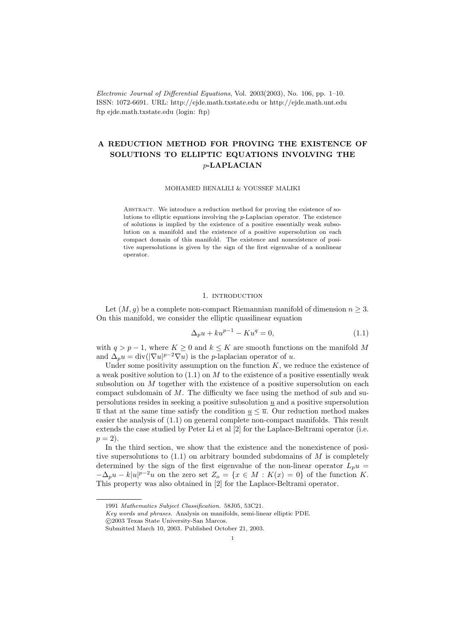Electronic Journal of Differential Equations, Vol. 2003(2003), No. 106, pp. 1–10. ISSN: 1072-6691. URL: http://ejde.math.txstate.edu or http://ejde.math.unt.edu ftp ejde.math.txstate.edu (login: ftp)

# A REDUCTION METHOD FOR PROVING THE EXISTENCE OF SOLUTIONS TO ELLIPTIC EQUATIONS INVOLVING THE p-LAPLACIAN

## MOHAMED BENALILI & YOUSSEF MALIKI

ABSTRACT. We introduce a reduction method for proving the existence of solutions to elliptic equations involving the p-Laplacian operator. The existence of solutions is implied by the existence of a positive essentially weak subsolution on a manifold and the existence of a positive supersolution on each compact domain of this manifold. The existence and nonexistence of positive supersolutions is given by the sign of the first eigenvalue of a nonlinear operator.

## 1. INTRODUCTION

Let  $(M, g)$  be a complete non-compact Riemannian manifold of dimension  $n \geq 3$ . On this manifold, we consider the elliptic quasilinear equation

$$
\Delta_p u + k u^{p-1} - K u^q = 0,\t\t(1.1)
$$

with  $q > p - 1$ , where  $K \geq 0$  and  $k \leq K$  are smooth functions on the manifold M and  $\Delta_p u = \text{div}(|\nabla u|^{p-2} \nabla u)$  is the p-laplacian operator of u.

Under some positivity assumption on the function  $K$ , we reduce the existence of a weak positive solution to  $(1.1)$  on M to the existence of a positive essentially weak subsolution on  $M$  together with the existence of a positive supersolution on each compact subdomain of  $M$ . The difficulty we face using the method of sub and supersolutions resides in seeking a positive subsolution  $\underline{u}$  and a positive supersolution  $\overline{u}$  that at the same time satisfy the condition  $\underline{u} \leq \overline{u}$ . Our reduction method makes easier the analysis of (1.1) on general complete non-compact manifolds. This result extends the case studied by Peter Li et al [2] for the Laplace-Beltrami operator (i.e.  $p = 2$ ).

In the third section, we show that the existence and the nonexistence of positive supersolutions to  $(1.1)$  on arbitrary bounded subdomains of M is completely determined by the sign of the first eigenvalue of the non-linear operator  $L_p u =$  $-\Delta_p u - k|u|^{p-2}u$  on the zero set  $Z_o = \{x \in M : K(x) = 0\}$  of the function K. This property was also obtained in [2] for the Laplace-Beltrami operator.

<sup>1991</sup> Mathematics Subject Classification. 58J05, 53C21.

Key words and phrases. Analysis on manifolds, semi-linear elliptic PDE.

c 2003 Texas State University-San Marcos.

Submitted March 10, 2003. Published October 21, 2003.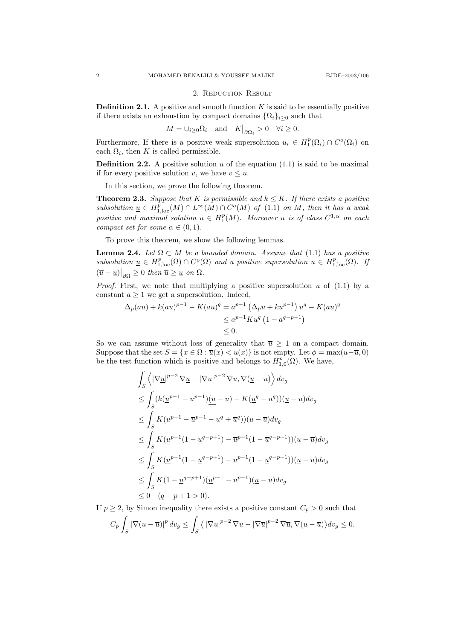#### 2. Reduction Result

**Definition 2.1.** A positive and smooth function  $K$  is said to be essentially positive if there exists an exhaustion by compact domains  $\{\Omega_i\}_{i>0}$  such that

$$
M = \bigcup_{i \ge 0} \Omega_i \quad \text{and} \quad K\big|_{\partial \Omega_i} > 0 \quad \forall i \ge 0.
$$

Furthermore, If there is a positive weak supersolution  $u_i \in H_1^p(\Omega_i) \cap C^o(\Omega_i)$  on each  $\Omega_i$ , then K is called permissible.

**Definition 2.2.** A positive solution u of the equation  $(1.1)$  is said to be maximal if for every positive solution v, we have  $v \leq u$ .

In this section, we prove the following theorem.

**Theorem 2.3.** Suppose that K is permissible and  $k \leq K$ . If there exists a positive subsolution  $\underline{u} \in H_{1,\text{loc}}^p(M) \cap L^{\infty}(M) \cap C^o(M)$  of  $(1.1)$  on M, then it has a weak positive and maximal solution  $u \in H_1^p(M)$ . Moreover u is of class  $C^{1,\alpha}$  on each compact set for some  $\alpha \in (0,1)$ .

To prove this theorem, we show the following lemmas.

**Lemma 2.4.** Let  $\Omega \subset M$  be a bounded domain. Assume that (1.1) has a positive subsolution  $\underline{u} \in H_{1,\text{loc}}^p(\Omega) \cap C^o(\Omega)$  and a positive supersolution  $\overline{u} \in H_{1,\text{loc}}^p(\Omega)$ . If  $(\overline{u}-\underline{u})\big|_{\partial\Omega}\geq 0$  then  $\overline{u}\geq \underline{u}$  on  $\Omega$ .

*Proof.* First, we note that multiplying a positive supersolution  $\bar{u}$  of (1.1) by a constant  $a \geq 1$  we get a supersolution. Indeed,

$$
\Delta_p(au) + k(au)^{p-1} - K(au)^q = a^{p-1} \left(\Delta_p u + ku^{p-1}\right) u^q - K(au)^q
$$
  

$$
\leq a^{p-1} K u^q \left(1 - a^{q-p+1}\right)
$$
  

$$
\leq 0.
$$

So we can assume without loss of generality that  $\overline{u} \geq 1$  on a compact domain. Suppose that the set  $S = \{x \in \Omega : \overline{u}(x) < \underline{u}(x)\}$  is not empty. Let  $\phi = \max(\underline{u} - \overline{u}, 0)$ be the test function which is positive and belongs to  $H_{1,0}^p(\Omega)$ . We have,

$$
\int_{S} \left\langle |\nabla \underline{u}|^{p-2} \nabla \underline{u} - |\nabla \overline{u}|^{p-2} \nabla \overline{u}, \nabla (\underline{u} - \overline{u}) \right\rangle dv_{g}
$$
\n
$$
\leq \int_{S} (k(\underline{u}^{p-1} - \overline{u}^{p-1})(\underline{u} - \overline{u}) - K(\underline{u}^{q} - \overline{u}^{q})) (\underline{u} - \overline{u}) dv_{g}
$$
\n
$$
\leq \int_{S} K(\underline{u}^{p-1} - \overline{u}^{p-1} - \underline{u}^{q} + \overline{u}^{q})) (\underline{u} - \overline{u}) dv_{g}
$$
\n
$$
\leq \int_{S} K(\underline{u}^{p-1}(1 - \underline{u}^{q-p+1}) - \overline{u}^{p-1}(1 - \overline{u}^{q-p+1})) (\underline{u} - \overline{u}) dv_{g}
$$
\n
$$
\leq \int_{S} K(\underline{u}^{p-1}(1 - \underline{u}^{q-p+1}) - \overline{u}^{p-1}(1 - \underline{u}^{q-p+1})) (\underline{u} - \overline{u}) dv_{g}
$$
\n
$$
\leq \int_{S} K(1 - \underline{u}^{q-p+1})(\underline{u}^{p-1} - \overline{u}^{p-1})(\underline{u} - \overline{u}) dv_{g}
$$
\n
$$
\leq 0 \quad (q-p+1 > 0).
$$

If  $p \ge 2$ , by Simon inequality there exists a positive constant  $C_p > 0$  such that  $C_p$ S  $\left|\nabla(\underline{u}-\overline{u})\right|^p dv_g \leq 1$ S  $\langle |\nabla \underline{u}|^{p-2} \nabla \underline{u} - |\nabla \overline{u}|^{p-2} \nabla \overline{u}, \nabla (\underline{u} - \overline{u}) \rangle dv_g \leq 0.$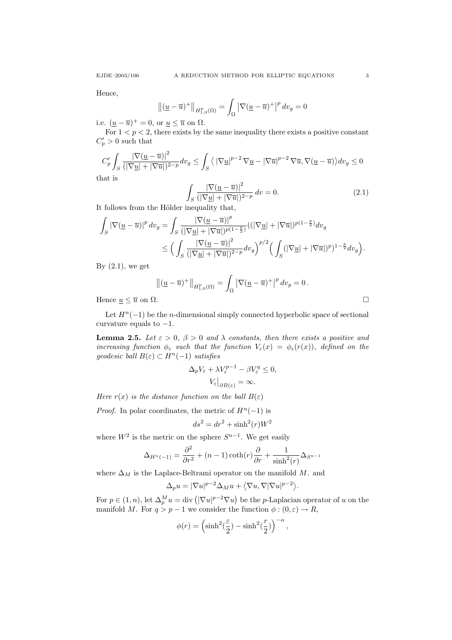Hence,

$$
\left\| (\underline{u} - \overline{u})^+ \right\|_{H^p_{1,0}(\Omega)} = \int_{\Omega} \left| \nabla (\underline{u} - \overline{u})^+ \right|^p dv_g = 0
$$

i.e.  $(\underline{u} - \overline{u})^+ = 0$ , or  $\underline{u} \leq \overline{u}$  on  $\Omega$ .

For  $1 < p < 2$ , there exists by the same inequality there exists a positive constant  $C_p' > 0$  such that

$$
C_p' \int_S \frac{|\nabla(\underline{u}-\overline{u})|^2}{(|\nabla \underline{u}| + |\nabla \overline{u}|)^{2-p}} dv_g \le \int_S \left\langle |\nabla \underline{u}|^{p-2} \nabla \underline{u} - |\nabla \overline{u}|^{p-2} \nabla \overline{u}, \nabla(\underline{u}-\overline{u}) \right\rangle dv_g \le 0
$$
hat is

that is

$$
\int_{S} \frac{\left|\nabla(\underline{u} - \overline{u})\right|^2}{\left(\left|\nabla \underline{u}\right| + \left|\nabla \overline{u}\right|\right)^{2-p}} dv = 0.
$$
\n(2.1)

It follows from the Hölder inequality that,

$$
\int_{S} |\nabla (\underline{u} - \overline{u})|^p dv_g = \int_{S} \frac{|\nabla (\underline{u} - \overline{u})|^p}{(|\nabla \underline{u}| + |\nabla \overline{u}|)^{p(1-\frac{p}{2})}} ((|\nabla \underline{u}| + |\nabla \overline{u}|)^{p(1-\frac{p}{2})} dv_g
$$
  

$$
\leq \Big( \int_{S} \frac{|\nabla (\underline{u} - \overline{u})|^2}{(|\nabla \underline{u}| + |\nabla \overline{u}|)^{2-p}} dv_g \Big)^{p/2} \Big( \int_{S} (|\nabla \underline{u}| + |\nabla \overline{u}|)^{p} |^{1-\frac{p}{2}} dv_g \Big).
$$

By  $(2.1)$ , we get

$$
\left\| (\underline{u} - \overline{u})^+ \right\|_{H^p_{1,0}(\Omega)} = \int_{\Omega} \left| \nabla (\underline{u} - \overline{u})^+ \right|^p dv_g = 0.
$$

Hence  $\underline{u} \leq \overline{u}$  on  $\Omega$ .

Let  $H<sup>n</sup>(-1)$  be the *n*-dimensional simply connected hyperbolic space of sectional curvature equals to  $-1$ .

**Lemma 2.5.** Let  $\varepsilon > 0$ ,  $\beta > 0$  and  $\lambda$  constants, then there exists a positive and increasing function  $\phi_{\varepsilon}$  such that the function  $V_{\varepsilon}(x) = \phi_{\varepsilon}(r(x))$ , defined on the geodesic ball  $B(\varepsilon) \subset H^n(-1)$  satisfies

$$
\Delta_p V_{\varepsilon} + \lambda V_{\varepsilon}^{p-1} - \beta V_{\varepsilon}^q \le 0,
$$
  

$$
V_{\varepsilon}|_{\partial B(\varepsilon)} = \infty.
$$

Here  $r(x)$  is the distance function on the ball  $B(\varepsilon)$ 

*Proof.* In polar coordinates, the metric of  $H<sup>n</sup>(-1)$  is

$$
ds^2 = dr^2 + \sinh^2(r)W^2
$$

where  $W^2$  is the metric on the sphere  $S^{n-1}$ . We get easily

$$
\Delta_{H^n(-1)} = \frac{\partial^2}{\partial r^2} + (n-1)\coth(r)\frac{\partial}{\partial r} + \frac{1}{\sinh^2(r)}\Delta_{S^{n-1}}
$$

where  $\Delta_M$  is the Laplace-Beltrami operator on the manifold M. and

$$
\Delta_p u = |\nabla u|^{p-2} \Delta_M u + \langle \nabla u, \nabla |\nabla u|^{p-2} \rangle.
$$

For  $p \in (1, n)$ , let  $\Delta_p^M u = \text{div} \left( |\nabla u|^{p-2} \nabla u \right)$  be the *p*-Laplacian operator of u on the manifold M. For  $q > p - 1$  we consider the function  $\phi : (0, \varepsilon) \to R$ ,

$$
\phi(r) = \left(\sinh^2(\frac{\varepsilon}{2}) - \sinh^2(\frac{r}{2})\right)^{-\alpha},\,
$$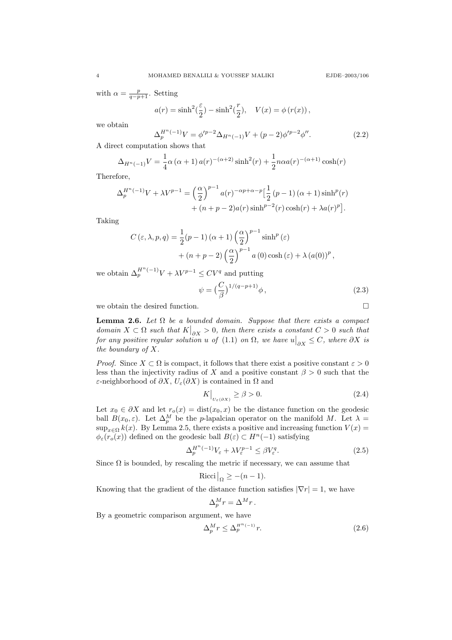with  $\alpha = \frac{p}{q-p+1}$ . Setting

$$
a(r) = \sinh^2(\frac{\varepsilon}{2}) - \sinh^2(\frac{r}{2}), \quad V(x) = \phi(r(x)),
$$

we obtain

$$
\Delta_p^{H^n(-1)}V = \phi'^{p-2}\Delta_{H^n(-1)}V + (p-2)\phi'^{p-2}\phi''.
$$
\n(2.2)

A direct computation shows that

$$
\Delta_{H^n(-1)}V = \frac{1}{4}\alpha (\alpha + 1) a(r)^{-(\alpha+2)} \sinh^2(r) + \frac{1}{2}n\alpha a(r)^{-(\alpha+1)} \cosh(r)
$$

Therefore,

$$
\Delta_p^{H^n(-1)}V + \lambda V^{p-1} = \left(\frac{\alpha}{2}\right)^{p-1} a(r)^{-\alpha p + \alpha - p} \left[\frac{1}{2} (p-1) (\alpha + 1) \sinh^p(r) + (n + p - 2)a(r) \sinh^{p-2}(r) \cosh(r) + \lambda a(r)^p\right].
$$

Taking

$$
C(\varepsilon, \lambda, p, q) = \frac{1}{2}(p - 1) (\alpha + 1) \left(\frac{\alpha}{2}\right)^{p - 1} \sinh^p(\varepsilon)
$$

$$
+ (n + p - 2) \left(\frac{\alpha}{2}\right)^{p - 1} a(0) \cosh(\varepsilon) + \lambda (a(0))^p,
$$

we obtain  $\Delta_p^{H^n(-1)}V + \lambda V^{p-1} \le CV^q$  and putting

$$
\psi = \left(\frac{C}{\beta}\right)^{1/(q-p+1)}\phi\,,\tag{2.3}
$$

we obtain the desired function.  $\hfill \square$ 

**Lemma 2.6.** Let  $\Omega$  be a bounded domain. Suppose that there exists a compact domain  $X \subset \Omega$  such that  $K|_{\partial X} > 0$ , then there exists a constant  $C > 0$  such that for any positive regular solution u of (1.1) on  $\Omega$ , we have  $u|_{\partial X} \leq C$ , where  $\partial X$  is the boundary of X.

*Proof.* Since  $X \subset \Omega$  is compact, it follows that there exist a positive constant  $\varepsilon > 0$ less than the injectivity radius of X and a positive constant  $\beta > 0$  such that the ε-neighborhood of  $\partial X$ ,  $U_{\varepsilon}(\partial X)$  is contained in  $\Omega$  and

$$
K\Big|_{U_{\varepsilon}(\partial X)} \ge \beta > 0. \tag{2.4}
$$

Let  $x_0 \in \partial X$  and let  $r_o(x) = \text{dist}(x_0, x)$  be the distance function on the geodesic ball  $B(x_0, \varepsilon)$ . Let  $\Delta_p^M$  be the p-lapalcian operator on the manifold M. Let  $\lambda =$  $\sup_{x \in \Omega} k(x)$ . By Lemma 2.5, there exists a positive and increasing function  $V(x)$  =  $\phi_{\varepsilon}(r_o(x))$  defined on the geodesic ball  $B(\varepsilon) \subset H^n(-1)$  satisfying

$$
\Delta_p^{H^n(-1)} V_{\varepsilon} + \lambda V_{\varepsilon}^{p-1} \le \beta V_{\varepsilon}^q. \tag{2.5}
$$

Since  $\Omega$  is bounded, by rescaling the metric if necessary, we can assume that

$$
Ricci\big|_{\Omega} \ge -(n-1).
$$

Knowing that the gradient of the distance function satisfies  $|\nabla r| = 1$ , we have

$$
\Delta_p^M r = \Delta^M r \, .
$$

By a geometric comparison argument, we have

$$
\Delta_p^M r \le \Delta_p^{H^{n}(-1)} r. \tag{2.6}
$$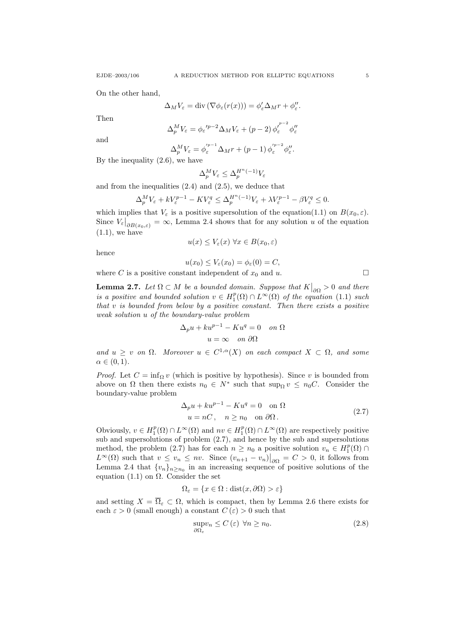On the other hand,

$$
\Delta_M V_{\varepsilon} = \text{div} \left( \nabla \phi_{\varepsilon}(r(x)) \right) = \phi_{\varepsilon}' \Delta_M r + \phi_{\varepsilon}''.
$$

Then

$$
\Delta_p^M V_{\varepsilon} = \phi_{\varepsilon}^{\prime p-2} \Delta_M V_{\varepsilon} + (p-2) \phi_{\varepsilon}^{\prime^{p-2}} \phi_{\varepsilon}^{\prime\prime}
$$

and

$$
\Delta_p^M V_{\varepsilon} = \phi_{\varepsilon}^{\prime p-1} \Delta_M r + (p-1) \phi_{\varepsilon}^{\prime p-2} \phi_{\varepsilon}^{\prime\prime}.
$$

By the inequality  $(2.6)$ , we have

$$
\Delta_p^M V_\varepsilon \le \Delta_p^{H^n(-1)} V_\varepsilon
$$

and from the inequalities (2.4) and (2.5), we deduce that

$$
\Delta_p^M V_{\varepsilon} + k V_{\varepsilon}^{p-1} - K V_{\varepsilon}^q \le \Delta_p^{H^n(-1)} V_{\varepsilon} + \lambda V_{\varepsilon}^{p-1} - \beta V_{\varepsilon}^q \le 0.
$$

which implies that  $V_{\varepsilon}$  is a positive supersolution of the equation(1.1) on  $B(x_0, \varepsilon)$ . Since  $V_{\varepsilon}|_{\partial B(x_0,\varepsilon)} = \infty$ , Lemma 2.4 shows that for any solution u of the equation  $(1.1)$ , we have

$$
u(x) \le V_{\varepsilon}(x) \,\forall x \in B(x_0, \varepsilon)
$$

hence

$$
u(x_0) \le V_{\varepsilon}(x_0) = \phi_{\varepsilon}(0) = C,
$$

where C is a positive constant independent of  $x_0$  and u.

**Lemma 2.7.** Let  $\Omega \subset M$  be a bounded domain. Suppose that  $K|_{\partial \Omega} > 0$  and there is a positive and bounded solution  $v \in H_1^p(\Omega) \cap L^\infty(\Omega)$  of the equation (1.1) such that  $v$  is bounded from below by a positive constant. Then there exists a positive weak solution u of the boundary-value problem

$$
\Delta_p u + k u^{p-1} - K u^q = 0 \quad on \ \Omega
$$

$$
u = \infty \quad on \ \partial\Omega
$$

and  $u \geq v$  on  $\Omega$ . Moreover  $u \in C^{1,\alpha}(X)$  on each compact  $X \subset \Omega$ , and some  $\alpha \in (0,1)$ .

*Proof.* Let  $C = \inf_{\Omega} v$  (which is positive by hypothesis). Since v is bounded from above on  $\Omega$  then there exists  $n_0 \in N^*$  such that  $\sup_{\Omega} v \leq n_0 C$ . Consider the boundary-value problem

$$
\Delta_p u + k u^{p-1} - K u^q = 0 \quad \text{on } \Omega
$$
  
 
$$
u = nC, \quad n \ge n_0 \quad \text{on } \partial\Omega.
$$
 (2.7)

Obviously,  $v \in H_1^p(\Omega) \cap L^\infty(\Omega)$  and  $nv \in H_1^p(\Omega) \cap L^\infty(\Omega)$  are respectively positive sub and supersolutions of problem (2.7), and hence by the sub and supersolutions method, the problem (2.7) has for each  $n \geq n_0$  a positive solution  $v_n \in H_1^p(\Omega) \cap$  $L^{\infty}(\Omega)$  such that  $v \leq v_n \leq nv$ . Since  $(v_{n+1} - v_n)|_{\partial\Omega} = C > 0$ , it follows from Lemma 2.4 that  $\{v_n\}_{n\geq n_0}$  in an increasing sequence of positive solutions of the equation (1.1) on  $\Omega$ . Consider the set

$$
\Omega_{\varepsilon} = \{ x \in \Omega : \text{dist}(x, \partial \Omega) > \varepsilon \}
$$

and setting  $X = \overline{\Omega}_{\varepsilon} \subset \Omega$ , which is compact, then by Lemma 2.6 there exists for each  $\varepsilon > 0$  (small enough) a constant  $C(\varepsilon) > 0$  such that

$$
\sup_{\partial\Omega_{\varepsilon}} v_n \le C\left(\varepsilon\right) \ \forall n \ge n_0. \tag{2.8}
$$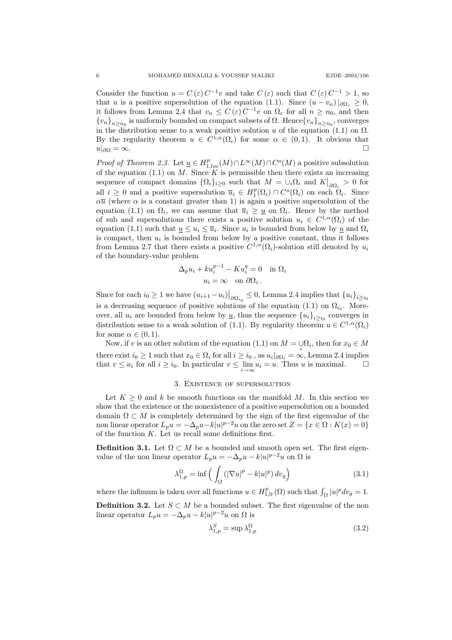Consider the function  $u = C(\varepsilon) C^{-1}v$  and take  $C(\varepsilon)$  such that  $C(\varepsilon) C^{-1} > 1$ , so that u is a positive supersolution of the equation (1.1). Since  $(u - v_n)|_{\partial \Omega_{\varepsilon}} \geq 0$ , it follows from Lemma 2.4 that  $v_n \leq C(\varepsilon) C^{-1}v$  on  $\Omega_{\varepsilon}$  for all  $n \geq n_0$ , and then  ${v_n}_{n \ge n_0}$  is uniformly bounded on compact subsets of  $\Omega$ . Hence  ${v_n}_{n \ge n_0}$ , converges in the distribution sense to a weak positive solution u of the equation (1.1) on  $\Omega$ . By the regularity theorem  $u \in C^{1,\alpha}(\Omega_\epsilon)$  for some  $\alpha \in (0,1)$ . It obvious that  $u|_{\partial\Omega} = \infty$ .

*Proof of Theorem 2.3.* Let  $\underline{u} \in H_{1,loc}^p(M) \cap L^{\infty}(M) \cap C^o(M)$  a positive subsolution of the equation (1.1) on M. Since K is permissible then there exists an increasing sequence of compact domains  $\{\Omega_i\}_{i\geq 0}$  such that  $M = \bigcup_i \Omega_i$  and  $K\big|_{\partial \Omega_i} > 0$  for all  $i \geq 0$  and a positive supersolution  $\overline{u}_i \in H_1^p(\Omega_i) \cap C^o(\Omega_i)$  on each  $\Omega_i$ . Since  $\alpha\bar{u}$  (where  $\alpha$  is a constant greater than 1) is again a positive supersolution of the equation (1.1) on  $\Omega_i$ , we can assume that  $\overline{u}_i \geq \underline{u}$  on  $\Omega_i$ . Hence by the method of sub and supersolutions there exists a positive solution  $u_i \in C^{1,\alpha}(\Omega_i)$  of the equation (1.1) such that  $\underline{u} \leq u_i \leq \overline{u}_i$ . Since  $u_i$  is bounded from below by  $\underline{u}$  and  $\Omega_i$ is compact, then  $u_i$  is bounded from below by a positive constant, thus it follows from Lemma 2.7 that there exists a positive  $C^{1,\alpha}(\Omega_i)$ -solution still denoted by  $u_i$ of the boundary-value problem

$$
\Delta_p u_i + k u_i^{p-1} - K u_i^q = 0 \text{ in } \Omega_i
$$
  

$$
u_i = \infty \text{ on } \partial \Omega_i.
$$

Since for each  $i_0 \geq 1$  we have  $(u_{i+1} - u_i)|_{\partial \Omega_{i_0}} \leq 0$ , Lemma 2.4 implies that  $\{u_i\}_{i \geq i_0}$ is a decreasing sequence of positive solutions of the equation  $(1.1)$  on  $\Omega_{i_0}$ . Moreover, all  $u_i$  are bounded from below by  $\underline{u}$ , thus the sequence  ${u_i}_{i\geq i_0}$  converges in distribution sense to a weak solution of (1.1). By regularity theorem  $u \in C^{1,\alpha}(\Omega_i)$ for some  $\alpha \in (0,1)$ .

Now, if v is an other solution of the equation (1.1) on  $M = \bigcup_i \Omega_i$ , then for  $x_0 \in M$ there exist  $i_0 \ge 1$  such that  $x_0 \in \Omega_i$  for all  $i \ge i_0$ , as  $u_i|_{\partial \Omega_i} = \infty$ , Lemma 2.4 implies that  $v \leq u_i$  for all  $i \geq i_0$ . In particular  $v \leq \lim_{i \to \infty} u_i = u$ . Thus u is maximal.  $\Box$ 

## 3. Existence of supersolution

Let  $K \geq 0$  and k be smooth functions on the manifold M. In this section we show that the existence or the nonexistence of a positive supersolution on a bounded domain  $\Omega \subset M$  is completely determined by the sign of the first eigenvalue of the non linear operator  $L_p u = -\Delta_p u - k|u|^{p-2}u$  on the zero set  $Z = \{x \in \Omega : K(x) = 0\}$ of the function  $K$ . Let us recall some definitions first.

**Definition 3.1.** Let  $\Omega \subset M$  be a bounded and smooth open set. The first eigenvalue of the non linear operator  $L_p u = -\Delta_p u - k|u|^{p-2}u$  on  $\Omega$  is

$$
\lambda_{1,p}^{\Omega} = \inf \left( \int_{\Omega} \left( |\nabla u|^p - k |u|^p \right) dv_g \right) \tag{3.1}
$$

where the infimum is taken over all functions  $u \in H_{1,0}^p(\Omega)$  such that  $\int_{\Omega} |u|^p dv_g = 1$ .

**Definition 3.2.** Let  $S \subset M$  be a bounded subset. The first eigenvalue of the non linear operator  $L_p u = -\Delta_p u - k|u|^{p-2}u$  on  $\Omega$  is

$$
\lambda_{1,p}^S = \sup \lambda_{1,p}^\Omega \tag{3.2}
$$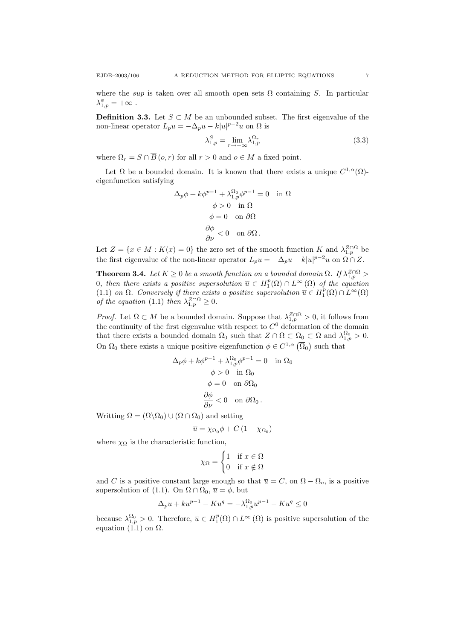where the sup is taken over all smooth open sets  $\Omega$  containing S. In particular  $\lambda_{1,p}^\phi=+\infty$  .

**Definition 3.3.** Let  $S \subset M$  be an unbounded subset. The first eigenvalue of the non-linear operator  $L_p u = -\Delta_p u - k|u|^{p-2}u$  on  $\Omega$  is

$$
\lambda_{1,p}^S = \lim_{r \to +\infty} \lambda_{1,p}^{\Omega_r} \tag{3.3}
$$

where  $\Omega_r = S \cap \overline{B}(o, r)$  for all  $r > 0$  and  $o \in M$  a fixed point.

Let  $\Omega$  be a bounded domain. It is known that there exists a unique  $C^{1,\alpha}(\Omega)$ eigenfunction satisfying

$$
\Delta_p \phi + k \phi^{p-1} + \lambda_{1,p}^{\Omega_0} \phi^{p-1} = 0 \text{ in } \Omega
$$

$$
\phi > 0 \text{ in } \Omega
$$

$$
\phi = 0 \text{ on } \partial \Omega
$$

$$
\frac{\partial \phi}{\partial \nu} < 0 \text{ on } \partial \Omega.
$$

Let  $Z = \{x \in M : K(x) = 0\}$  the zero set of the smooth function K and  $\lambda_{1,p}^{Z \cap \Omega}$  be the first eigenvalue of the non-linear operator  $L_p u = -\Delta_p u - k|u|^{p-2}u$  on  $\Omega \cap Z$ .

**Theorem 3.4.** Let  $K \geq 0$  be a smooth function on a bounded domain  $\Omega$ . If  $\lambda_{1,p}^{Z \cap \Omega}$ 0, then there exists a positive supersolution  $\overline{u} \in H_1^p(\Omega) \cap L^\infty(\Omega)$  of the equation (1.1) on  $\Omega$ . Conversely if there exists a positive supersolution  $\overline{u} \in H_1^p(\Omega) \cap L^{\infty}(\Omega)$ of the equation (1.1) then  $\lambda_{1,p}^{Z\cap\Omega} \geq 0$ .

*Proof.* Let  $\Omega \subset M$  be a bounded domain. Suppose that  $\lambda_{1,p}^{Z \cap \Omega} > 0$ , it follows from the continuity of the first eigenvalue with respect to  $C<sup>0</sup>$  deformation of the domain that there exists a bounded domain  $\Omega_0$  such that  $Z \cap \Omega \subset \Omega_0 \subset \Omega$  and  $\lambda_{1,p}^{\Omega_0} > 0$ . On  $\Omega_0$  there exists a unique positive eigenfunction  $\phi \in C^{1,\alpha}(\overline{\Omega}_0)$  such that

$$
\Delta_p \phi + k \phi^{p-1} + \lambda_{1,p}^{\Omega_0} \phi^{p-1} = 0 \quad \text{in } \Omega_0
$$

$$
\phi > 0 \quad \text{in } \Omega_0
$$

$$
\phi = 0 \quad \text{on } \partial \Omega_0
$$

$$
\frac{\partial \phi}{\partial \nu} < 0 \quad \text{on } \partial \Omega_0.
$$

Writting  $\Omega = (\Omega \backslash \Omega_0) \cup (\Omega \cap \Omega_0)$  and setting

$$
\overline{u} = \chi_{\Omega_0} \phi + C (1 - \chi_{\Omega_0})
$$

where  $\chi_{\Omega}$  is the characteristic function,

$$
\chi_{\Omega} = \begin{cases} 1 & \text{if } x \in \Omega \\ 0 & \text{if } x \notin \Omega \end{cases}
$$

and C is a positive constant large enough so that  $\overline{u} = C$ , on  $\Omega - \Omega_o$ , is a positive supersolution of (1.1). On  $\Omega \cap \Omega_0$ ,  $\overline{u} = \phi$ , but

$$
\Delta_p\overline{u} + k\overline{u}^{p-1} - K\overline{u}^q = -\lambda_{1,p}^{\Omega_0}\overline{u}^{p-1} - K\overline{u}^q \le 0
$$

because  $\lambda_{1,p}^{\Omega_0} > 0$ . Therefore,  $\overline{u} \in H_1^p(\Omega) \cap L^\infty(\Omega)$  is positive supersolution of the equation (1.1) on  $\Omega$ .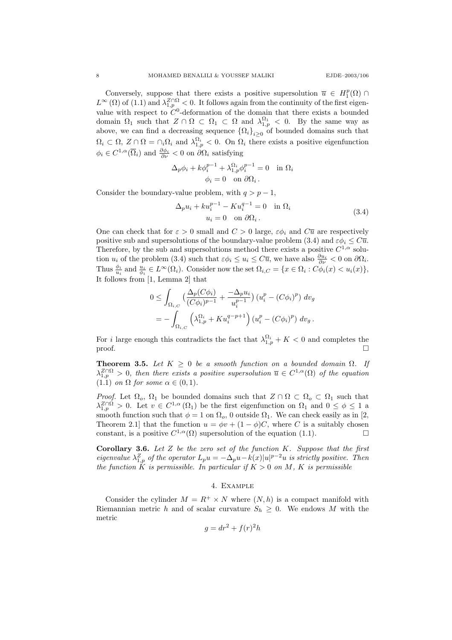Conversely, suppose that there exists a positive supersolution  $\overline{u} \in H_1^p(\Omega)$  $L^{\infty}(\Omega)$  of  $(1.1)$  and  $\lambda_{1,p}^{Z\cap\Omega}<0$ . It follows again from the continuity of the first eigenvalue with respect to  $C^0$ -deformation of the domain that there exists a bounded domain  $\Omega_1$  such that  $Z \cap \Omega \subset \Omega_1 \subset \Omega$  and  $\lambda_{1,p}^{\Omega_1} < 0$ . By the same way as above, we can find a decreasing sequence  $\{\Omega_i\}_{i\geq 0}$  of bounded domains such that  $\Omega_i \subset \Omega$ ,  $Z \cap \Omega = \cap_i \Omega_i$  and  $\lambda_{1,p}^{\Omega_i} < 0$ . On  $\Omega_i$  there exists a positive eigenfunction  $\phi_i \in C^{1,\alpha}(\overline{\Omega}_i)$  and  $\frac{\partial \phi_i}{\partial \nu} < 0$  on  $\partial \Omega_i$  satisfying

$$
\Delta_p \phi_i + k \phi_i^{p-1} + \lambda_{1,p}^{\Omega_i} \phi_i^{p-1} = 0 \text{ in } \Omega_i
$$
  

$$
\phi_i = 0 \text{ on } \partial \Omega_i.
$$

Consider the boundary-value problem, with  $q > p - 1$ ,

$$
\Delta_p u_i + k u_i^{p-1} - K u_i^{q-1} = 0 \quad \text{in } \Omega_i
$$
  

$$
u_i = 0 \quad \text{on } \partial \Omega_i.
$$
 (3.4)

One can check that for  $\varepsilon > 0$  small and  $C > 0$  large,  $\varepsilon \phi_i$  and  $C\overline{u}$  are respectively positive sub and supersolutions of the boundary-value problem (3.4) and  $\varepsilon \phi_i \leq C\overline{u}$ . Therefore, by the sub and supersolutions method there exists a positive  $C^{1,\alpha}$  solution  $u_i$  of the problem (3.4) such that  $\varepsilon \phi_i \leq u_i \leq C\overline{u}$ , we have also  $\frac{\partial u_i}{\partial \nu} < 0$  on  $\partial \Omega_i$ . Thus  $\frac{\phi_i}{u_i}$  and  $\frac{u_i}{\phi_i} \in L^{\infty}(\Omega_i)$ . Consider now the set  $\Omega_{i,C} = \{x \in \Omega_i : C\phi_i(x) < u_i(x)\},$ It follows from [1, Lemma 2] that

$$
0 \leq \int_{\Omega_{i,C}} \left( \frac{\Delta_p(C\phi_i)}{(C\phi_i)^{p-1}} + \frac{-\Delta_p u_i}{u_i^{p-1}} \right) \left( u_i^p - (C\phi_i)^p \right) dv_g
$$
  
= 
$$
- \int_{\Omega_{i,C}} \left( \lambda_{1,p}^{\Omega_i} + Ku_i^{q-p+1} \right) \left( u_i^p - (C\phi_i)^p \right) dv_g.
$$

For i large enough this contradicts the fact that  $\lambda_{1,p}^{\Omega_i} + K < 0$  and completes the proof.  $\Box$ 

**Theorem 3.5.** Let  $K \geq 0$  be a smooth function on a bounded domain  $\Omega$ . If  $\lambda_{1,p}^{Z \cap \Omega} > 0$ , then there exists a positive supersolution  $\overline{u} \in C^{1,\alpha}(\Omega)$  of the equation (1.1) on  $\Omega$  for some  $\alpha \in (0,1)$ .

*Proof.* Let  $\Omega_o$ ,  $\Omega_1$  be bounded domains such that  $Z \cap \Omega \subset \Omega_o \subset \Omega_1$  such that  $\lambda_{1,p}^{Z \cap \Omega} > 0$ . Let  $v \in C^{1,\alpha}(\Omega_1)$  be the first eigenfunction on  $\Omega_1$  and  $0 \le \phi \le 1$  a smooth function such that  $\phi = 1$  on  $\Omega_o$ , 0 outside  $\Omega_1$ . We can check easily as in [2, Theorem 2.1] that the function  $u = \phi v + (1 - \phi)C$ , where C is a suitably chosen constant, is a positive  $C^{1,\alpha}(\Omega)$  supersolution of the equation (1.1).

**Corollary 3.6.** Let  $Z$  be the zero set of the function  $K$ . Suppose that the first eigenvalue  $\lambda_{1,p}^Z$  of the operator  $L_p u = -\Delta_p u - k(x)|u|^{p-2}u$  is strictly positive. Then the function K is permissible. In particular if  $K > 0$  on M, K is permissible

## 4. Example

Consider the cylinder  $M = R^+ \times N$  where  $(N, h)$  is a compact manifold with Riemannian metric h and of scalar curvature  $S_h \geq 0$ . We endows M with the metric

$$
g = dr^2 + f(r)^2 h
$$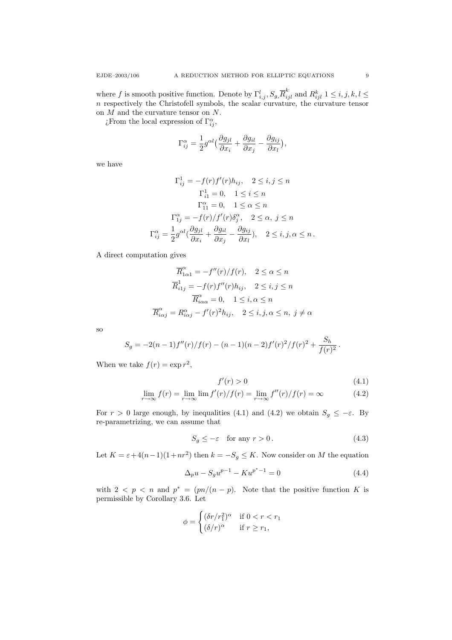where f is smooth positive function. Denote by  $\Gamma_{i,j}^l$ ,  $S_g$ ,  $\overline{R}_{ijl}^k$  and  $R_{ijl}^k$   $1 \le i, j, k, l \le l$ n respectively the Christofell symbols, the scalar curvature, the curvature tensor on  $M$  and the curvature tensor on  $N$ .

 $\chi$ From the local expression of  $\Gamma_{ij}^{\alpha}$ ,

$$
\Gamma_{ij}^{\alpha} = \frac{1}{2} g^{\alpha l} \Big( \frac{\partial g_{jl}}{\partial x_i} + \frac{\partial g_{il}}{\partial x_j} - \frac{\partial g_{ij}}{\partial x_l} \Big),\,
$$

we have

$$
\Gamma_{ij}^{1} = -f(r)f'(r)h_{ij}, \quad 2 \le i, j \le n
$$

$$
\Gamma_{i1}^{1} = 0, \quad 1 \le i \le n
$$

$$
\Gamma_{11}^{\alpha} = 0, \quad 1 \le \alpha \le n
$$

$$
\Gamma_{1j}^{\alpha} = -f(r)/f'(r)\delta_{j}^{\alpha}, \quad 2 \le \alpha, j \le n
$$

$$
\Gamma_{ij}^{\alpha} = \frac{1}{2}g^{\alpha l}(\frac{\partial g_{jl}}{\partial x_{i}} + \frac{\partial g_{il}}{\partial x_{j}} - \frac{\partial g_{ij}}{\partial x_{l}}), \quad 2 \le i, j, \alpha \le n.
$$

A direct computation gives

$$
\overline{R}_{1\alpha 1}^{\alpha} = -f''(r)/f(r), \quad 2 \le \alpha \le n
$$

$$
\overline{R}_{i1j}^{1} = -f(r)f''(r)h_{ij}, \quad 2 \le i, j \le n
$$

$$
\overline{R}_{i\alpha\alpha}^{\alpha} = 0, \quad 1 \le i, \alpha \le n
$$

$$
\overline{R}_{i\alpha j}^{\alpha} = R_{i\alpha j}^{\alpha} - f'(r)^{2}h_{ij}, \quad 2 \le i, j, \alpha \le n, j \ne \alpha
$$

so

$$
S_g = -2(n-1)f''(r)/f(r) - (n-1)(n-2)f'(r)^2/f(r)^2 + \frac{S_h}{f(r)^2}.
$$

When we take  $f(r) = \exp(r^2)$ ,

$$
f'(r) > 0 \tag{4.1}
$$

$$
\lim_{r \to \infty} f(r) = \lim_{r \to \infty} \lim_{r \to \infty} f'(r)/f(r) = \lim_{r \to \infty} f''(r)/f(r) = \infty
$$
\n(4.2)

For  $r > 0$  large enough, by inequalities (4.1) and (4.2) we obtain  $S_g \leq -\varepsilon$ . By re-parametrizing, we can assume that

$$
S_g \le -\varepsilon \quad \text{for any } r > 0. \tag{4.3}
$$

Let  $K = \varepsilon + 4(n-1)(1+nr^2)$  then  $k = -S_g \leq K$ . Now consider on M the equation

$$
\Delta_p u - S_g u^{p-1} - K u^{p^* - 1} = 0 \tag{4.4}
$$

with  $2 < p < n$  and  $p^* = (pn/(n-p))$ . Note that the positive function K is permissible by Corollary 3.6. Let

$$
\phi = \begin{cases}\n(\delta r/r_1^2)^{\alpha} & \text{if } 0 < r < r_1 \\
(\delta/r)^{\alpha} & \text{if } r \ge r_1,\n\end{cases}
$$